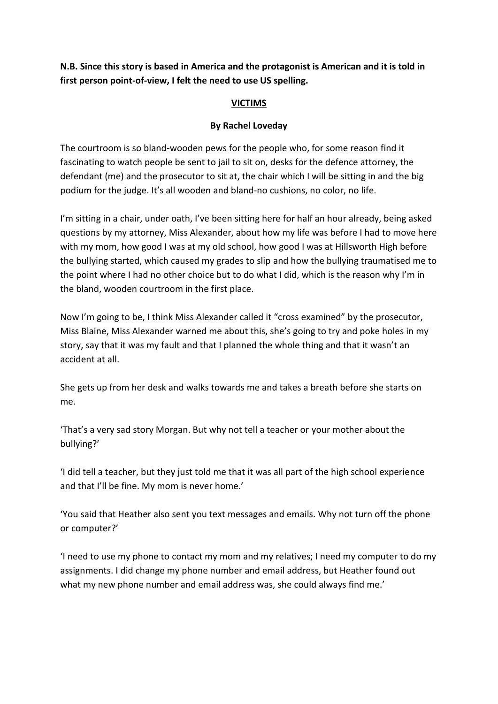**N.B. Since this story is based in America and the protagonist is American and it is told in first person point-of-view, I felt the need to use US spelling.**

## **VICTIMS**

## **By Rachel Loveday**

The courtroom is so bland-wooden pews for the people who, for some reason find it fascinating to watch people be sent to jail to sit on, desks for the defence attorney, the defendant (me) and the prosecutor to sit at, the chair which I will be sitting in and the big podium for the judge. It's all wooden and bland-no cushions, no color, no life.

I'm sitting in a chair, under oath, I've been sitting here for half an hour already, being asked questions by my attorney, Miss Alexander, about how my life was before I had to move here with my mom, how good I was at my old school, how good I was at Hillsworth High before the bullying started, which caused my grades to slip and how the bullying traumatised me to the point where I had no other choice but to do what I did, which is the reason why I'm in the bland, wooden courtroom in the first place.

Now I'm going to be, I think Miss Alexander called it "cross examined" by the prosecutor, Miss Blaine, Miss Alexander warned me about this, she's going to try and poke holes in my story, say that it was my fault and that I planned the whole thing and that it wasn't an accident at all.

She gets up from her desk and walks towards me and takes a breath before she starts on me.

'That's a very sad story Morgan. But why not tell a teacher or your mother about the bullying?'

'I did tell a teacher, but they just told me that it was all part of the high school experience and that I'll be fine. My mom is never home.'

'You said that Heather also sent you text messages and emails. Why not turn off the phone or computer?'

'I need to use my phone to contact my mom and my relatives; I need my computer to do my assignments. I did change my phone number and email address, but Heather found out what my new phone number and email address was, she could always find me.'